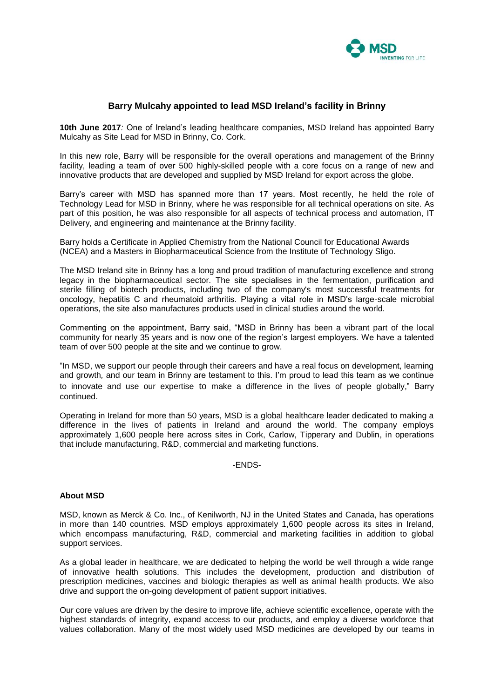

## **Barry Mulcahy appointed to lead MSD Ireland's facility in Brinny**

**10th June 2017***:* One of Ireland's leading healthcare companies, MSD Ireland has appointed Barry Mulcahy as Site Lead for MSD in Brinny, Co. Cork.

In this new role, Barry will be responsible for the overall operations and management of the Brinny facility, leading a team of over 500 highly-skilled people with a core focus on a range of new and innovative products that are developed and supplied by MSD Ireland for export across the globe.

Barry's career with MSD has spanned more than 17 years. Most recently, he held the role of Technology Lead for MSD in Brinny, where he was responsible for all technical operations on site. As part of this position, he was also responsible for all aspects of technical process and automation, IT Delivery, and engineering and maintenance at the Brinny facility.

Barry holds a Certificate in Applied Chemistry from the National Council for Educational Awards (NCEA) and a Masters in Biopharmaceutical Science from the Institute of Technology Sligo.

The MSD Ireland site in Brinny has a long and proud tradition of manufacturing excellence and strong legacy in the biopharmaceutical sector. The site specialises in the fermentation, purification and sterile filling of biotech products, including two of the company's most successful treatments for oncology, hepatitis C and rheumatoid arthritis. Playing a vital role in MSD's large-scale microbial operations, the site also manufactures products used in clinical studies around the world.

Commenting on the appointment, Barry said, "MSD in Brinny has been a vibrant part of the local community for nearly 35 years and is now one of the region's largest employers. We have a talented team of over 500 people at the site and we continue to grow.

"In MSD, we support our people through their careers and have a real focus on development, learning and growth*,* and our team in Brinny are testament to this. I'm proud to lead this team as we continue to innovate and use our expertise to make a difference in the lives of people globally," Barry continued.

Operating in Ireland for more than 50 years, MSD is a global healthcare leader dedicated to making a difference in the lives of patients in Ireland and around the world. The company employs approximately 1,600 people here across sites in Cork, Carlow, Tipperary and Dublin, in operations that include manufacturing, R&D, commercial and marketing functions.

## -ENDS-

## **About MSD**

MSD, known as Merck & Co. Inc., of Kenilworth, NJ in the United States and Canada, has operations in more than 140 countries. MSD employs approximately 1,600 people across its sites in Ireland, which encompass manufacturing, R&D, commercial and marketing facilities in addition to global support services.

As a global leader in healthcare, we are dedicated to helping the world be well through a wide range of innovative health solutions. This includes the development, production and distribution of prescription medicines, vaccines and biologic therapies as well as animal health products. We also drive and support the on-going development of patient support initiatives.

Our core values are driven by the desire to improve life, achieve scientific excellence, operate with the highest standards of integrity, expand access to our products, and employ a diverse workforce that values collaboration. Many of the most widely used MSD medicines are developed by our teams in